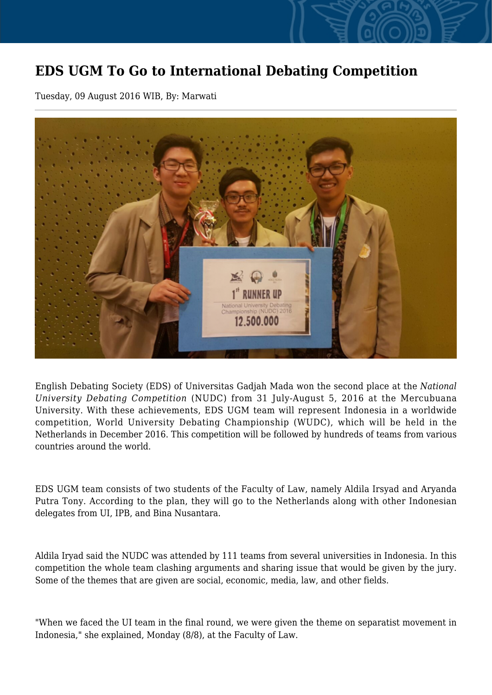## **EDS UGM To Go to International Debating Competition**

Tuesday, 09 August 2016 WIB, By: Marwati



English Debating Society (EDS) of Universitas Gadjah Mada won the second place at the *National University Debating Competition* (NUDC) from 31 July-August 5, 2016 at the Mercubuana University. With these achievements, EDS UGM team will represent Indonesia in a worldwide competition, World University Debating Championship (WUDC), which will be held in the Netherlands in December 2016. This competition will be followed by hundreds of teams from various countries around the world.

EDS UGM team consists of two students of the Faculty of Law, namely Aldila Irsyad and Aryanda Putra Tony. According to the plan, they will go to the Netherlands along with other Indonesian delegates from UI, IPB, and Bina Nusantara.

Aldila Iryad said the NUDC was attended by 111 teams from several universities in Indonesia. In this competition the whole team clashing arguments and sharing issue that would be given by the jury. Some of the themes that are given are social, economic, media, law, and other fields.

"When we faced the UI team in the final round, we were given the theme on separatist movement in Indonesia," she explained, Monday (8/8), at the Faculty of Law.